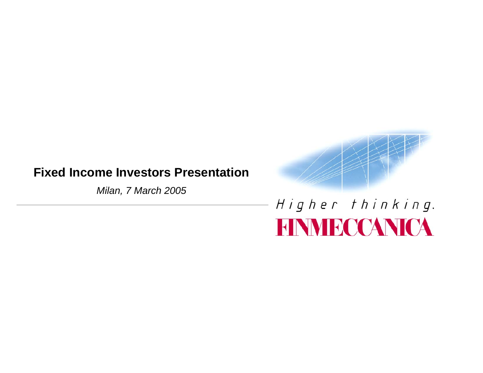# **Fixed Income Investors Presentation**

*Milan, 7 March 2005*



# Higher thinking. **FINMECCANICA**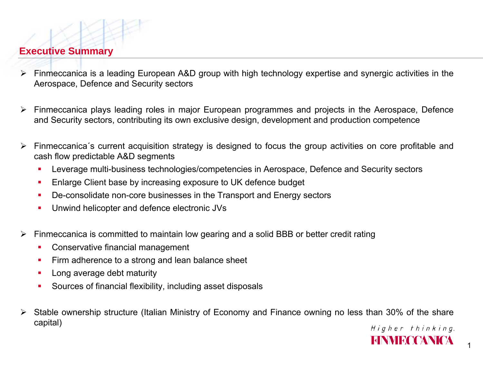## **Executive Summary**

- ¾ Finmeccanica is a leading European A&D group with high technology expertise and synergic activities in the Aerospace, Defence and Security sectors
- $\blacktriangleright$  Finmeccanica plays leading roles in major European programmes and projects in the Aerospace, Defence and Security sectors, contributing its own exclusive design, development and production competence
- $\blacktriangleright$  Finmeccanica´s current acquisition strategy is designed to focus the group activities on core profitable and cash flow predictable A&D segments
	- Г Leverage multi-business technologies/competencies in Aerospace, Defence and Security sectors
	- Г Enlarge Client base by increasing exposure to UK defence budget
	- г De-consolidate non-core businesses in the Transport and Energy sectors
	- Unwind helicopter and defence electronic JVs
- ¾ Finmeccanica is committed to maintain low gearing and a solid BBB or better credit rating
	- г Conservative financial management
	- Firm adherence to a strong and lean balance sheet
	- Г Long average debt maturity
	- Г Sources of financial flexibility, including asset disposals
- ¾ Stable ownership structure (Italian Ministry of Economy and Finance owning no less than 30% of the share capital)

1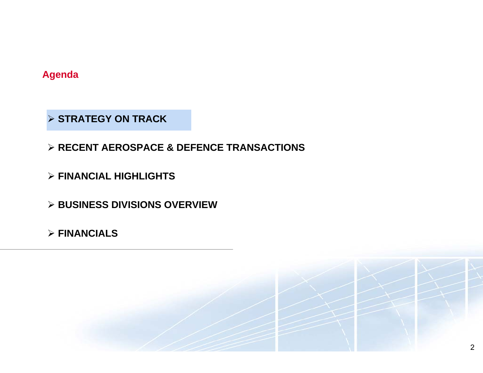**Agenda**

¾ **STRATEGY ON TRACK** 

¾ **RECENT AEROSPACE & DEFENCE TRANSACTIONS**

¾ **FINANCIAL HIGHLIGHTS**

¾ **BUSINESS DIVISIONS OVERVIEW**

¾ **FINANCIALS**

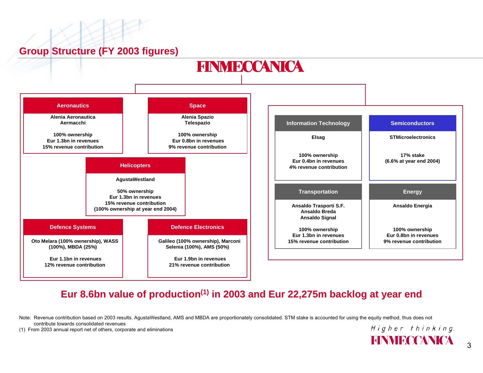## **Group Structure (FY 2003 figures)**



#### **Eur 8.6bn value of production(1) in 2003 and Eur 22,275m backlog at year end**

Note: Revenue contribution based on 2003 results. AgustaWestland, AMS and MBDA are proportionately consolidated. STM stake is accounted for using the equity method, thus does not contribute towards consolidated revenues

(1) From 2003 annual report net of others, corporate and eliminations

3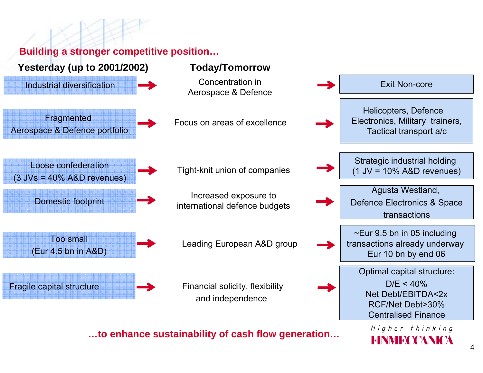**Building a stronger competitive position…**



**…to enhance sustainability of cash flow generation…**

**HINNIROQANIQA**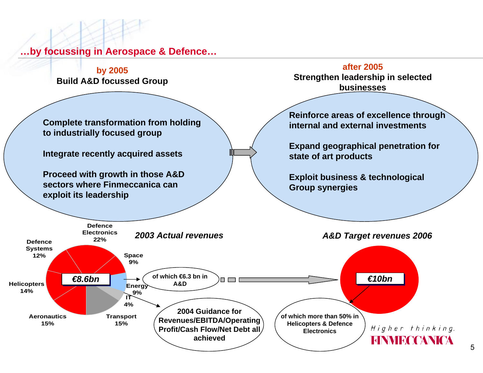**…by focussing in Aerospace & Defence…**

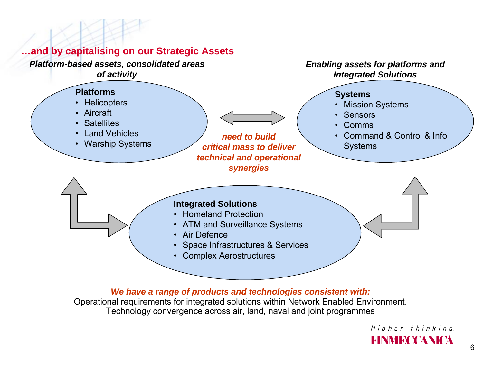

#### **…and by capitalising on our Strategic Assets**

*We have a range of products and technologies consistent with:*

Operational requirements for integrated solutions within Network Enabled Environment. Technology convergence across air, land, naval and joint programmes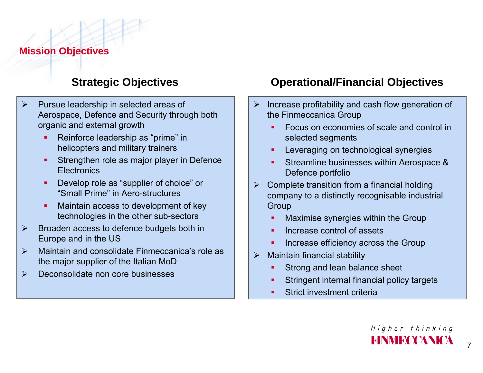**Mission Objectives**

# **Strategic Objectives**

- $\blacktriangleright$  Pursue leadership in selected areas of Aerospace, Defence and Security through both organic and external growth
	- ▉ Reinforce leadership as "prime" in helicopters and military trainers
	- П Strengthen role as major player in Defence **Electronics**
	- ▉ Develop role as "supplier of choice" or "Small Prime" in Aero-structures
	- П Maintain access to development of key technologies in the other sub-sectors
- $\blacktriangleright$  Broaden access to defence budgets both in Europe and in the US
- $\blacktriangleright$  Maintain and consolidate Finmeccanica's role as the major supplier of the Italian MoD
- $\blacktriangleright$ Deconsolidate non core businesses

# **Operational/Financial Objectives**

- $\triangleright$  Increase profitability and cash flow generation of the Finmeccanica Group
	- Focus on economies of scale and control in selected segments
	- Leveraging on technological synergies
	- Streamline businesses within Aerospace & Defence portfolio
- $\triangleright$  Complete transition from a financial holding company to a distinctly recognisable industrial **Group** 
	- ٠ Maximise synergies within the Group
	- Increase control of assets
	- ٠ Increase efficiency across the Group
- $\blacktriangleright$  Maintain financial stability
	- Strong and lean balance sheet
	- Stringent internal financial policy targets
	- Strict investment criteria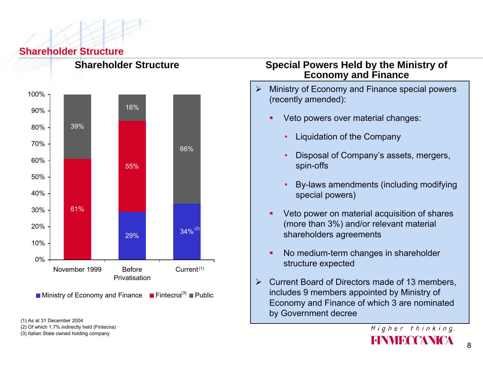#### **Shareholder Structure**

![](_page_8_Figure_1.jpeg)

**Shareholder Structure**

(1) As at 31 December 2004

(2) Of which 1.7% indirectly held (Fintecna)

(3) Italian State owned holding company

#### **Special Powers Held by the Ministry of Economy and Finance**

- $\blacktriangleright$  Ministry of Economy and Finance special powers (recently amended):
	- г Veto powers over material changes:
		- Liquidation of the Company
		- • Disposal of Company's assets, mergers, spin-offs
		- • By-laws amendments (including modifying special powers)
	- Е Veto power on material acquisition of shares (more than 3%) and/or relevant material shareholders agreements
	- г No medium-term changes in shareholder structure expected
- $\blacktriangleright$  Current Board of Directors made of 13 members, includes 9 members appointed by Ministry of Economy and Finance of which 3 are nominated by Government decree

8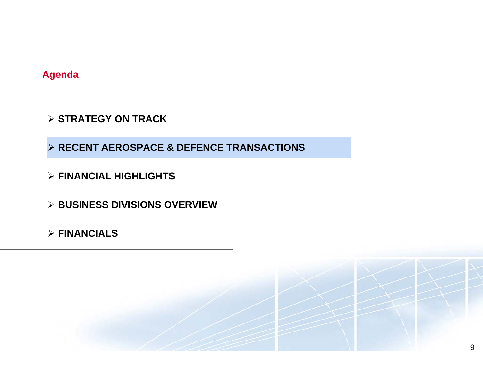**Agenda**

¾ **STRATEGY ON TRACK** 

¾ **RECENT AEROSPACE & DEFENCE TRANSACTIONS**

¾ **FINANCIAL HIGHLIGHTS**

¾ **BUSINESS DIVISIONS OVERVIEW**

¾ **FINANCIALS**

![](_page_9_Picture_6.jpeg)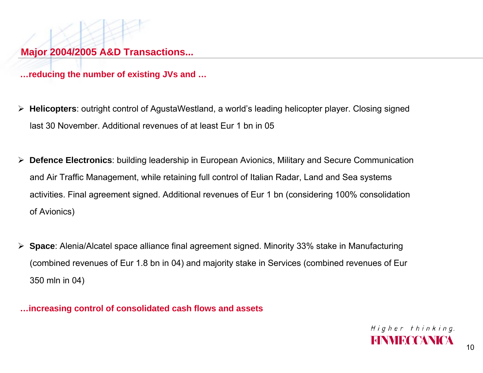**…reducing the number of existing JVs and …**

- ¾ **Helicopters**: outright control of AgustaWestland, a world's leading helicopter player. Closing signed last 30 November. Additional revenues of at least Eur 1 bn in 05
- ¾ **Defence Electronics**: building leadership in European Avionics, Military and Secure Communication and Air Traffic Management, while retaining full control of Italian Radar, Land and Sea systems activities. Final agreement signed. Additional revenues of Eur 1 bn (considering 100% consolidation of Avionics)
- ¾ **Space**: Alenia/Alcatel space alliance final agreement signed. Minority 33% stake in Manufacturing (combined revenues of Eur 1.8 bn in 04) and majority stake in Services (combined revenues of Eur 350 mln in 04)

**…increasing control of consolidated cash flows and assets**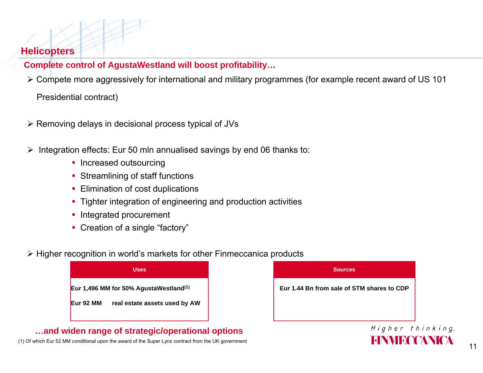#### **Helicopters**

#### **Complete control of AgustaWestland will boost profitability…**

¾ Compete more aggressively for international and military programmes (for example recent award of US 101

#### Presidential contract)

- ¾ Removing delays in decisional process typical of JVs
- ¾ Integration effects: Eur 50 mln annualised savings by end 06 thanks to:
	- **Increased outsourcing**
	- **Streamlining of staff functions**
	- **Elimination of cost duplications**
	- Tighter integration of engineering and production activities
	- **Integrated procurement**
	- Creation of a single "factory"
- ¾ Higher recognition in world's markets for other Finmeccanica products

![](_page_11_Figure_13.jpeg)

#### **…and widen range of strategic/operational options**

(1) Of which Eur 52 MM conditional upon the award of the Super Lynx contract from the UK government

![](_page_11_Picture_16.jpeg)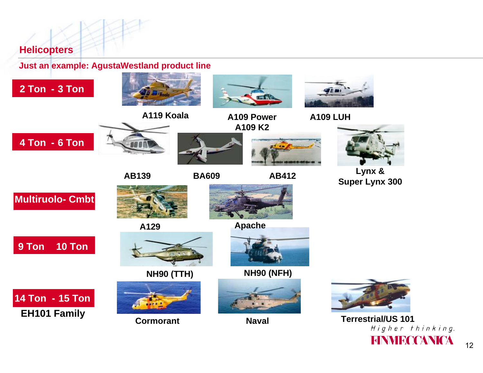**Helicopters**

**Just an example: AgustaWestland product line** 

![](_page_12_Picture_2.jpeg)

**Terrestrial/US 101**<br>*Higher thinking.* **FINMECCANICA**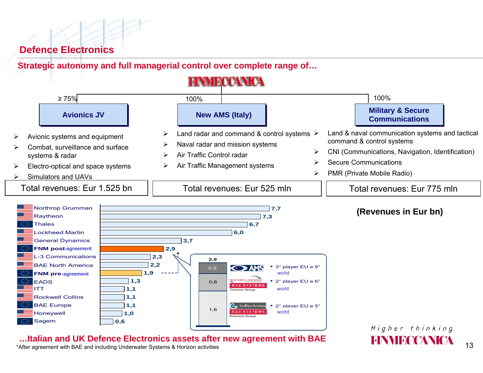#### **Defence Electronics**

**Strategic autonomy and full managerial control over complete range of…**

**HNMECCANICA** 

![](_page_13_Figure_3.jpeg)

**…Italian and UK Defence Electronics assets after new agreement with BAE**

\*After agreement with BAE and including Underwater Systems & Horizon activities

#### 13

**EINVIRCOANICA**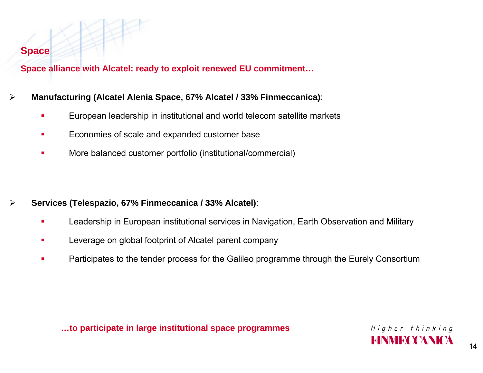#### **Space**

**Space alliance with Alcatel: ready to exploit renewed EU commitment…**

#### ¾**Manufacturing (Alcatel Alenia Space, 67% Alcatel / 33% Finmeccanica)**:

- $\mathbf{r}$ European leadership in institutional and world telecom satellite markets
- $\mathbf{r}$ Economies of scale and expanded customer base
- п More balanced customer portfolio (institutional/commercial)

- $\blacktriangleright$  **Services (Telespazio, 67% Finmeccanica / 33% Alcatel)**:
	- $\blacksquare$ Leadership in European institutional services in Navigation, Earth Observation and Military
	- $\blacksquare$ Leverage on global footprint of Alcatel parent company
	- $\mathcal{L}_{\mathcal{A}}$ Participates to the tender process for the Galileo programme through the Eurely Consortium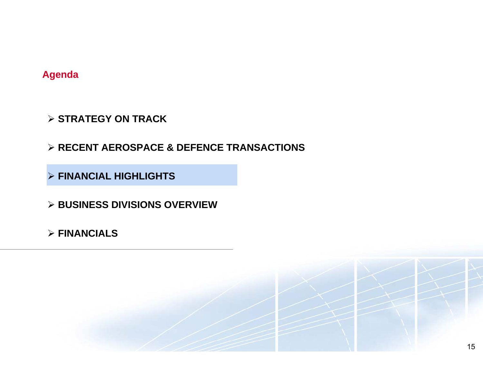**Agenda**

- ¾ **STRATEGY ON TRACK**
- ¾ **RECENT AEROSPACE & DEFENCE TRANSACTIONS**
- ¾ **FINANCIAL HIGHLIGHTS**
- ¾ **BUSINESS DIVISIONS OVERVIEW**
- ¾ **FINANCIALS**

![](_page_15_Picture_6.jpeg)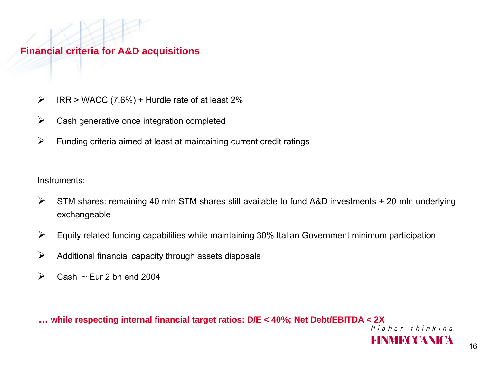- $\blacktriangleright$ IRR > WACC (7.6%) + Hurdle rate of at least 2%
- $\blacktriangleright$ Cash generative once integration completed
- $\blacktriangleright$ Funding criteria aimed at least at maintaining current credit ratings

Instruments:

- $\blacktriangleright$  STM shares: remaining 40 mln STM shares still available to fund A&D investments + 20 mln underlying exchangeable
- $\blacktriangleright$ Equity related funding capabilities while maintaining 30% Italian Government minimum participation
- $\blacktriangleright$ Additional financial capacity through assets disposals
- $\blacktriangleright$ Cash  $\sim$  Eur 2 bn end 2004

**… while respecting internal financial target ratios: D/E < 40%; Net Debt/EBITDA < 2X**

EINVIRT TANITA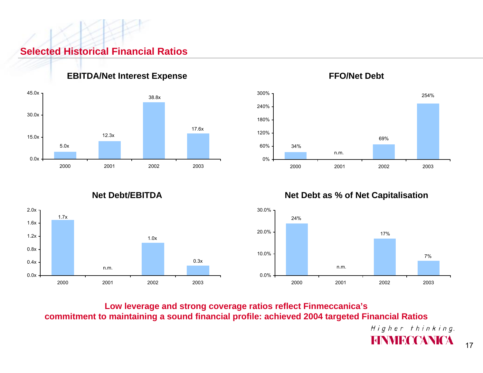#### **Selected Historical Financial Ratios**

![](_page_17_Figure_1.jpeg)

**EBITDA/Net Interest Expense FFO/Net Debt**

![](_page_17_Figure_3.jpeg)

![](_page_17_Figure_4.jpeg)

![](_page_17_Figure_6.jpeg)

**Net Debt/EBITDA Net Debt as % of Net Capitalisation**

![](_page_17_Figure_8.jpeg)

**Low leverage and strong coverage ratios reflect Finmeccanica's commitment to maintaining a sound financial profile: achieved 2004 targeted Financial Ratios**

> Higher thinking. **FINNIFCCANICA**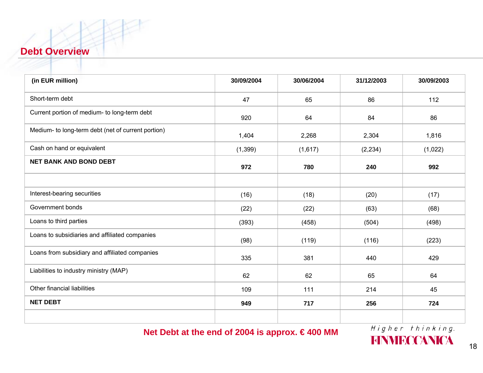#### **Debt Overview**

| (in EUR million)                                   | 30/09/2004 | 30/06/2004 | 31/12/2003 | 30/09/2003 |
|----------------------------------------------------|------------|------------|------------|------------|
| Short-term debt                                    | 47         | 65         | 86         | 112        |
| Current portion of medium- to long-term debt       | 920        | 64         | 84         | 86         |
| Medium- to long-term debt (net of current portion) | 1,404      | 2,268      | 2,304      | 1,816      |
| Cash on hand or equivalent                         | (1, 399)   | (1,617)    | (2, 234)   | (1,022)    |
| <b>NET BANK AND BOND DEBT</b>                      | 972        | 780        | 240        | 992        |
|                                                    |            |            |            |            |
| Interest-bearing securities                        | (16)       | (18)       | (20)       | (17)       |
| Government bonds                                   | (22)       | (22)       | (63)       | (68)       |
| Loans to third parties                             | (393)      | (458)      | (504)      | (498)      |
| Loans to subsidiaries and affiliated companies     | (98)       | (119)      | (116)      | (223)      |
| Loans from subsidiary and affiliated companies     | 335        | 381        | 440        | 429        |
| Liabilities to industry ministry (MAP)             | 62         | 62         | 65         | 64         |
| Other financial liabilities                        | 109        | 111        | 214        | 45         |
| <b>NET DEBT</b>                                    | 949        | 717        | 256        | 724        |
|                                                    |            |            |            |            |

**Net Debt at the end of 2004 is approx. € 400 MM**

Higher thinking. **FINMECCANICA**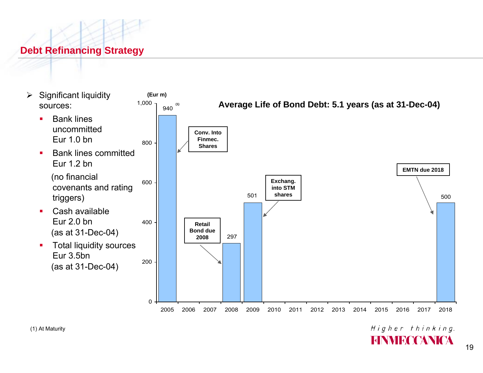# **Debt Refinancing Strategy**

![](_page_19_Figure_1.jpeg)

Higher thinking. **HNMRCCANICA**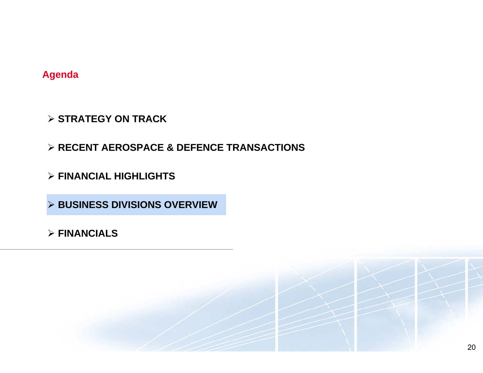#### **Agenda**

- ¾ **STRATEGY ON TRACK**
- ¾ **RECENT AEROSPACE & DEFENCE TRANSACTIONS**
- ¾ **FINANCIAL HIGHLIGHTS**
- ¾ **BUSINESS DIVISIONS OVERVIEW**
- ¾ **FINANCIALS**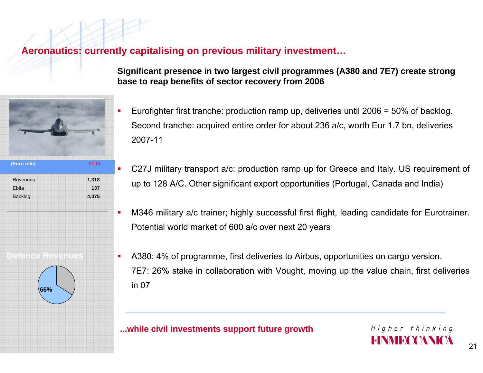#### **Aeronautics: currently capitalising on previous military investment…**

**Defence Revenues**

**(Euro mln)** 2003

**1,318 1374,075** □

□

□

□

RevenuesEbitaBacklog

**66%**

**Significant presence in two largest civil programmes (A380 and 7E7) create strong base to reap benefits of sector recovery from 2006** 

- Eurofighter first tranche: production ramp up, deliveries until 2006 = 50% of backlog. Second tranche: acquired entire order for about 236 a/c, worth Eur 1.7 bn, deliveries 2007-11
- C27J military transport a/c: production ramp up for Greece and Italy. US requirement of up to 128 A/C. Other significant export opportunities (Portugal, Canada and India)
- M346 military a/c trainer; highly successful first flight, leading candidate for Eurotrainer. Potential world market of 600 a/c over next 20 years
- A380: 4% of programme, first deliveries to Airbus, opportunities on cargo version. 7E7: 26% stake in collaboration with Vought, moving up the value chain, first deliveries in 07

#### **...while civil investments support future growth**

Higher thinking.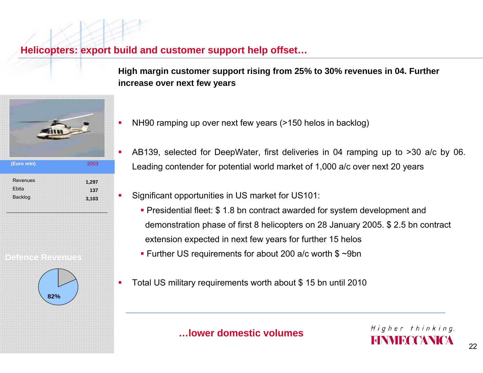**Helicopters: export build and customer support help offset…**

**Defence Revenues**

RevenuesEbitaBacklog

**82%**

**(Euro mln)** 2003

**1,297 1373,103** П

П

П

**High margin customer support rising from 25% to 30% revenues in 04. Further increase over next few years**

- NH90 ramping up over next few years (>150 helos in backlog)
- $\mathcal{L}_{\mathcal{A}}$  AB139, selected for DeepWater, first deliveries in 04 ramping up to >30 a/c by 06. Leading contender for potential world market of 1,000 a/c over next 20 years
	- Significant opportunities in US market for US101:
		- **Presidential fleet: \$1.8 bn contract awarded for system development and** demonstration phase of first 8 helicopters on 28 January 2005. \$ 2.5 bn contract extension expected in next few years for further 15 helos
		- Further US requirements for about 200 a/c worth \$ ~9bn
	- Total US military requirements worth about \$ 15 bn until 2010

Higher thinking.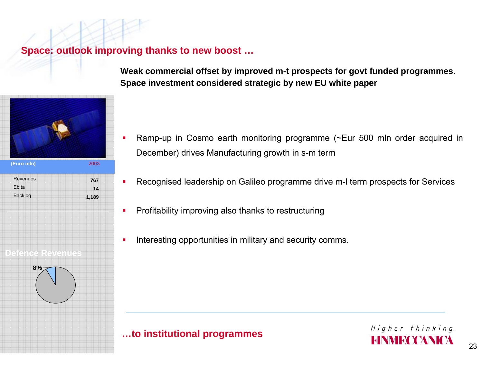**Space: outlook improving thanks to new boost …**

□

□

□

![](_page_23_Figure_1.jpeg)

**Weak commercial offset by improved m-t prospects for govt funded programmes. Space investment considered strategic by new EU white paper**

- □ Ramp-up in Cosmo earth monitoring programme (~Eur 500 mln order acquired in December) drives Manufacturing growth in s-m term
- Recognised leadership on Galileo programme drive m-l term prospects for Services
- Profitability improving also thanks to restructuring
- Interesting opportunities in military and security comms.

#### **…to institutional programmes**

![](_page_23_Picture_8.jpeg)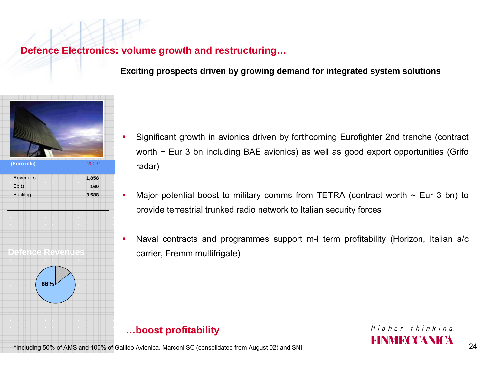**Defence Electronics: volume growth and restructuring…**

□

**Exciting prospects driven by growing demand for integrated system solutions**

![](_page_24_Picture_2.jpeg)

- □ Significant growth in avionics driven by forthcoming Eurofighter 2nd tranche (contract worth  $\sim$  Eur 3 bn including BAE avionics) as well as good export opportunities (Grifo radar)
- Major potential boost to military comms from TETRA (contract worth  $\sim$  Eur 3 bn) to provide terrestrial trunked radio network to Italian security forces
- □ Naval contracts and programmes support m-l term profitability (Horizon, Italian a/c carrier, Fremm multifrigate)

# **…boost profitability**

![](_page_24_Picture_7.jpeg)

\*Including 50% of AMS and 100% of Galileo Avionica, Marconi SC (consolidated from August 02) and SNI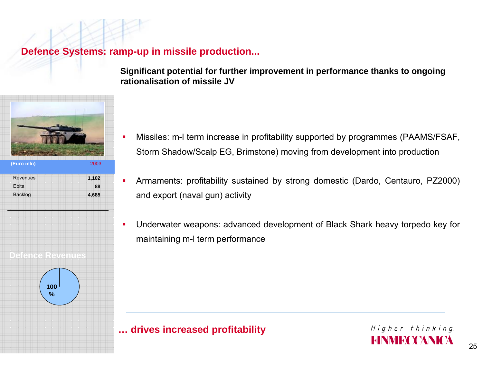#### **Defence Systems: ramp-up in missile production...**

□

**Significant potential for further improvement in performance thanks to ongoing rationalisation of missile JV**

![](_page_25_Picture_2.jpeg)

![](_page_25_Figure_3.jpeg)

- □ Missiles: m-l term increase in profitability supported by programmes (PAAMS/FSAF, Storm Shadow/Scalp EG, Brimstone) moving from development into production
	- Armaments: profitability sustained by strong domestic (Dardo, Centauro, PZ2000) and export (naval gun) activity
- □ Underwater weapons: advanced development of Black Shark heavy torpedo key for maintaining m-l term performance

## **… drives increased profitability**

![](_page_25_Picture_8.jpeg)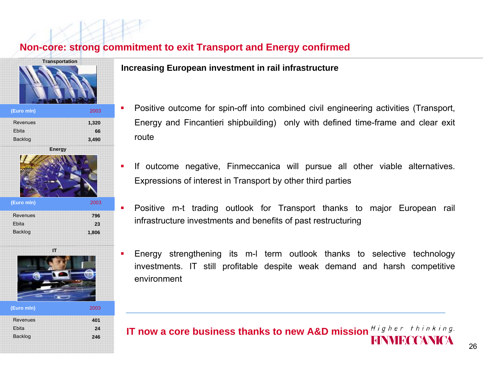#### **Non-core: strong commitment to exit Transport and Energy confirmed**

environment

![](_page_26_Figure_1.jpeg)

| Revenues       | 401 |
|----------------|-----|
| Ebita          | 24  |
| <b>Backlog</b> | 246 |
|                |     |
|                |     |

#### **Increasing European investment in rail infrastructure**

- Positive outcome for spin-off into combined civil engineering activities (Transport, Energy and Fincantieri shipbuilding) only with defined time-frame and clear exit route
- If outcome negative, Finmeccanica will pursue all other viable alternatives. Expressions of interest in Transport by other third parties
- Positive m-t trading outlook for Transport thanks to major European rail infrastructure investments and benefits of past restructuring

Energy strengthening its m-l term outlook thanks to selective technology

investments. IT still profitable despite weak demand and harsh competitive

![](_page_26_Picture_7.jpeg)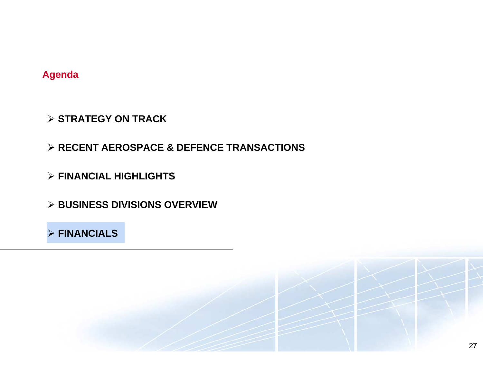#### **Agenda**

- ¾ **STRATEGY ON TRACK**
- ¾ **RECENT AEROSPACE & DEFENCE TRANSACTIONS**
- ¾ **FINANCIAL HIGHLIGHTS**
- ¾ **BUSINESS DIVISIONS OVERVIEW**

¾ **FINANCIALS** 

27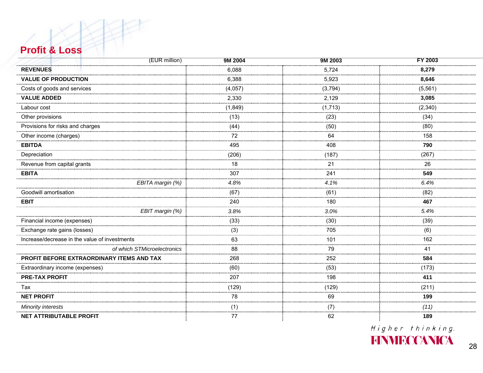#### **Profit & Loss**

| (EUR million)                                 | 9M 2004 | 9M 2003 | FY 2003  |
|-----------------------------------------------|---------|---------|----------|
| <b>REVENUES</b>                               | 6,088   | 5,724   | 8,279    |
| <b>VALUE OF PRODUCTION</b><br>                | 6,388   | 5,923   | 8,646    |
| Costs of goods and services                   | (4,057) | (3,794) | (5, 561) |
| <b>VALUE ADDED</b>                            | 2,330   | 2,129   | 3,085    |
| Labour cost<br>                               | (1,849) | (1,713) | (2, 340) |
| Other provisions                              | (13)    | (23)    | (34)     |
| Provisions for risks and charges              | (44)    | (50)    | (80)     |
| Other income (charges)                        | 72      | 64      | 158      |
| <b>EBITDA</b>                                 | 495     | 408     | 790      |
| Depreciation                                  | (206)   | (187)   | (267)    |
| Revenue from capital grants                   | 18<br>  | 21      | 26       |
| <b>EBITA</b>                                  | 307     | 241     | 549      |
| EBITA margin (%)                              | 4.8%    | 4.1%    | 6.4%     |
| Goodwill amortisation                         | (67)    | (61)    | (82)     |
| <b>EBIT</b>                                   | 240     | 180     | 467      |
| EBIT margin (%)                               | 3.8%    | 3.0%    | 5.4%     |
| Financial income (expenses)                   | (33)    | (30)    | (39)     |
| Exchange rate gains (losses)                  | (3)     | 705     | (6)      |
| Increase/decrease in the value of investments | 63      | 101     | 162      |
| of which STMicroelectronics                   | 88      | 79      | 41       |
| PROFIT BEFORE EXTRAORDINARY ITEMS AND TAX     | 268     | 252     | 584      |
| Extraordinary income (expenses)               | (60)    | (53)    | (173)    |
| <b>PRE-TAX PROFIT</b>                         | 207     | 198     | 411      |
| Tax                                           | (129)   | (129)   | (211)    |
| <b>NET PROFIT</b>                             | 78      | 69      | 199      |
| <b>Minority interests</b>                     | (1)     |         | (11)     |
| NET ATTRIBUTABLE PROFIT                       | 77      | 62      | 189      |

Higher thinking.

**FINMECCANICA**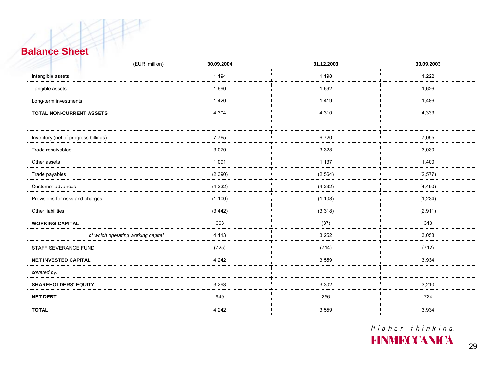#### **Balance Sheet**

| (EUR million)                        | 30.09.2004 | 31.12.2003 | 30.09.2003 |
|--------------------------------------|------------|------------|------------|
| Intangible assets                    | 1.194      | 1,198      | 1.222      |
| Tangible assets                      | 1,690      | 1,692      | 1,626      |
| Long-term investments                | 1,420      | 1.419      | 1.486      |
| <b>TOTAL NON-CURRENT ASSETS</b>      | 4,304<br>  | 4.310      | 4,333      |
| Inventory (net of progress billings) | 7.765      | 6,720      | 7.095      |
| Trade receivables                    | 3,070      | 3,328      | 3,030      |
| Other assets                         | 1,091      | 1,137      | 1,400      |
| Trade payables                       | (2,390)    | (2, 564)   | (2,577)    |
| Customer advances                    | (4, 332)   | (4, 232)   | (4,490)    |
| Provisions for risks and charges     | (1,100)    | (1, 108)   | (1,234)    |
| Other liabilities                    | (3, 442)   | (3,318)    | (2,911)    |
| <b>WORKING CAPITAL</b>               | 663        | (37)       | 313        |
| of which operating working capital   | 4,113      | 3,252      | 3,058      |
| STAFF SEVERANCE FUND                 | (725)      | (714)      | (712)      |
| <b>NET INVESTED CAPITAL</b>          | 4.242      | 3.559      | 3,934      |
| covered by:                          |            |            |            |
| <b>SHAREHOLDERS' EQUITY</b>          | 3,293      | 3,302      | 3,210      |
| <b>NET DEBT</b>                      | 949        | 256<br>    | 724        |
| <b>TOTAL</b>                         | 4,242      | 3,559      | 3,934      |

Higher thinking.<br>HINNIFICANICA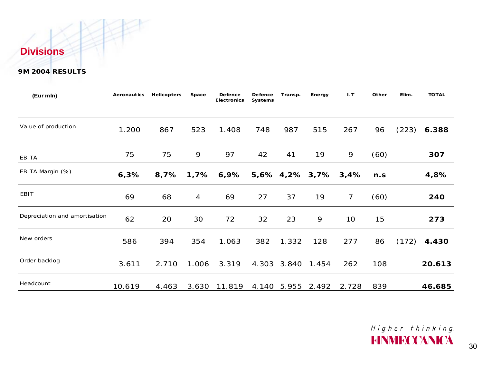#### **Divisions**

#### **9M 2004 RESULTS**

| (Eur mln)                     | <b>Aeronautics</b> | <b>Helicopters</b> | Space | <b>Defence</b><br><b>Electronics</b> | <b>Defence</b><br><b>Systems</b> | Transp. | Energy         | 1.7             | Other | Elim. | <b>TOTAL</b> |
|-------------------------------|--------------------|--------------------|-------|--------------------------------------|----------------------------------|---------|----------------|-----------------|-------|-------|--------------|
| Value of production           | 1.200              | 867                | 523   | 1.408                                | 748                              | 987     | 515            | 267             | 96    | (223) | 6.388        |
| EBITA                         | 75                 | 75                 | 9     | 97                                   | 42                               | 41      | 19             | 9               | (60)  |       | 307          |
| EBITA Margin (%)              | 6,3%               | 8,7%               | 1,7%  | 6,9%                                 |                                  |         | 5,6% 4,2% 3,7% | 3,4%            | n.s   |       | 4,8%         |
| <b>EBIT</b>                   | 69                 | 68                 | 4     | 69                                   | 27                               | 37      | 19             | $\overline{7}$  | (60)  |       | 240          |
| Depreciation and amortisation | 62                 | 20                 | 30    | 72                                   | 32                               | 23      | 9              | 10 <sup>°</sup> | 15    |       | 273          |
| New orders                    | 586                | 394                | 354   | 1.063                                | 382                              | 1.332   | 128            | 277             | 86    | (172) | 4.430        |
| Order backlog                 | 3.611              | 2.710              | 1.006 | 3.319                                | 4.303                            | 3.840   | 1.454          | 262             | 108   |       | 20.613       |
| Headcount                     | 10.619             | 4.463              | 3.630 | 11.819                               | 4.140                            | 5.955   | 2.492          | 2.728           | 839   |       | 46.685       |

Higher thinking. **FINNIFCCANICA**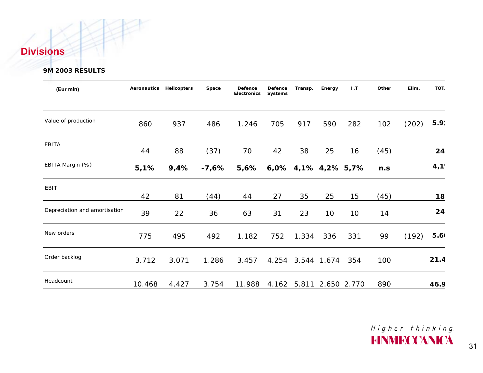#### **Divisions**

#### **9M 2003 RESULTS**

| (Eur mln)                     | Aeronautics | <b>Helicopters</b> | Space | Defence<br><b>Electronics</b> | Defence<br><b>Systems</b> | Transp.             | Energy          | 1.7             | Other | Elim. | TOT.             |
|-------------------------------|-------------|--------------------|-------|-------------------------------|---------------------------|---------------------|-----------------|-----------------|-------|-------|------------------|
| Value of production           | 860         | 937                | 486   | 1.246                         | 705                       | 917                 | 590             | 282             | 102   | (202) | 5.9 <sup>°</sup> |
| <b>EBITA</b>                  | 44          | 88                 | (37)  | 70                            | 42                        | 38                  | 25              | 16              | (45)  |       | 24               |
| EBITA Margin (%)              | 5,1%        | 9,4%               | -7,6% | $5,6\%$                       |                           | 6,0% 4,1% 4,2% 5,7% |                 |                 | n.s   |       | 4,1              |
| EBIT                          | 42          | 81                 | (44)  | 44                            | 27                        | 35                  | 25              | 15              | (45)  |       | 18               |
| Depreciation and amortisation | 39          | 22                 | 36    | 63                            | 31                        | 23                  | 10 <sup>1</sup> | 10 <sup>°</sup> | 14    |       | 24               |
| New orders                    | 775         | 495                | 492   | 1.182                         | 752                       | 1.334               | 336             | 331             | 99    | (192) | 5.6(             |
| Order backlog                 | 3.712       | 3.071              | 1.286 | 3.457                         |                           | 4.254 3.544 1.674   |                 | 354             | 100   |       | 21.4             |
| Headcount                     | 10.468      | 4.427              | 3.754 | 11.988                        | 4.162                     | 5.811               | 2.650 2.770     |                 | 890   |       | 46.9             |

Higher thinking.<br>HINNIFICANICA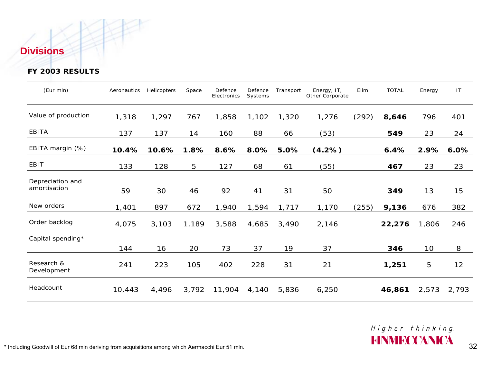#### **Divisions**

#### **FY 2003 RESULTS**

| (Eur mln)                        | Aeronautics | Helicopters | Space | Defence<br>Electronics | Defence<br>Systems | Transport | Energy, IT,<br>Other Corporate | Elim. | <b>TOTAL</b> | Energy          | IT    |
|----------------------------------|-------------|-------------|-------|------------------------|--------------------|-----------|--------------------------------|-------|--------------|-----------------|-------|
| Value of production              | 1,318       | 1,297       | 767   | 1,858                  | 1,102              | 1,320     | 1,276                          | (292) | 8,646        | 796             | 401   |
| <b>EBITA</b>                     | 137         | 137         | 14    | 160                    | 88                 | 66        | (53)                           |       | 549          | 23              | 24    |
| EBITA margin (%)                 | 10.4%       | 10.6%       | 1.8%  | 8.6%                   | 8.0%               | 5.0%      | (4.2%)                         |       | 6.4%         | 2.9%            | 6.0%  |
| EBIT                             | 133         | 128         | 5     | 127                    | 68                 | 61        | (55)                           |       | 467          | 23              | 23    |
| Depreciation and<br>amortisation | 59          | 30          | 46    | 92                     | 41                 | 31        | 50                             |       | 349          | 13              | 15    |
| New orders                       | 1,401       | 897         | 672   | 1,940                  | 1,594              | 1,717     | 1,170                          | (255) | 9,136        | 676             | 382   |
| Order backlog                    | 4,075       | 3,103       | 1,189 | 3,588                  | 4,685              | 3,490     | 2,146                          |       | 22,276       | 1,806           | 246   |
| Capital spending*                |             |             |       |                        |                    |           |                                |       |              |                 |       |
|                                  | 144         | 16          | 20    | 73                     | 37                 | 19        | 37                             |       | 346          | 10 <sup>°</sup> | 8     |
| Research &<br>Development        | 241         | 223         | 105   | 402                    | 228                | 31        | 21                             |       | 1,251        | 5               | 12    |
| Headcount                        | 10,443      | 4,496       | 3,792 | 11,904                 | 4,140              | 5,836     | 6,250                          |       | 46,861       | 2,573           | 2,793 |

Higher thinking.